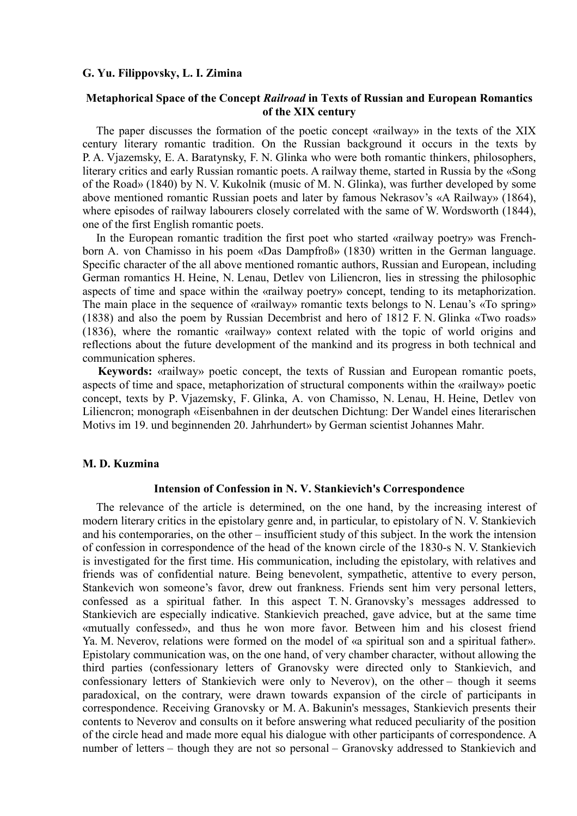#### **G. Yu. Filippovsky, L. I. Zimina**

# **Metaphorical Space of the Concept** *Railroad* **in Texts of Russian and European Romantics of the XIX century**

The paper discusses the formation of the poetic concept «railway» in the texts of the XIX century literary romantic tradition. On the Russian background it occurs in the texts by P. A. Vjazemsky, E. A. Baratynsky, F. N. Glinka who were both romantic thinkers, philosophers, literary critics and early Russian romantic poets. A railway theme, started in Russia by the «Song of the Road» (1840) by N. V. Kukolnik (music of M. N. Glinka), was further developed by some above mentioned romantic Russian poets and later by famous Nekrasov's «A Railway» (1864), where episodes of railway labourers closely correlated with the same of W. Wordsworth (1844), one of the first English romantic poets.

In the European romantic tradition the first poet who started «railway poetry» was Frenchborn A. von Chamisso in his poem «Das Dampfroß» (1830) written in the German language. Specific character of the all above mentioned romantic authors, Russian and European, including German romantics H. Heine, N. Lenau, Detlev von Liliencron, lies in stressing the philosophic aspects of time and space within the «railway poetry» concept, tending to its metaphorization. The main place in the sequence of «railway» romantic texts belongs to N. Lenau's «To spring» (1838) and also the poem by Russian Decembrist and hero of 1812 F. N. Glinka «Two roads» (1836), where the romantic «railway» context related with the topic of world origins and reflections about the future development of the mankind and its progress in both technical and communication spheres.

**Keywords:** «railway» poetic concept, the texts of Russian and European romantic poets, aspects of time and space, metaphorization of structural components within the «railway» poetic concept, texts by P. Vjazemsky, F. Glinka, A. von Chamisso, N. Lenau, H. Heine, Detlev von Liliencron; monograph «Eisenbahnen in der deutschen Dichtung: Der Wandel eines literarischen Motivs im 19. und beginnenden 20. Jahrhundert» by German scientist Johannes Mahr.

## **M. D. Kuzmina**

### **Intension of Confession in N. V. Stankievich's Correspondence**

The relevance of the article is determined, on the one hand, by the increasing interest of modern literary critics in the epistolary genre and, in particular, to epistolary of N. V. Stankievich and his contemporaries, on the other – insufficient study of this subject. In the work the intension of confession in correspondence of the head of the known circle of the 1830-s N. V. Stankievich is investigated for the first time. His communication, including the epistolary, with relatives and friends was of confidential nature. Being benevolent, sympathetic, attentive to every person, Stankevich won someone's favor, drew out frankness. Friends sent him very personal letters, confessed as a spiritual father. In this aspect T. N. Granovsky's messages addressed to Stankievich are especially indicative. Stankievich preached, gave advice, but at the same time «mutually confessed», and thus he won more favor. Between him and his closest friend Ya. M. Neverov, relations were formed on the model of «a spiritual son and a spiritual father». Epistolary communication was, on the one hand, of very chamber character, without allowing the third parties (confessionary letters of Granovsky were directed only to Stankievich, and confessionary letters of Stankievich were only to Neverov), on the other – though it seems paradoxical, on the contrary, were drawn towards expansion of the circle of participants in correspondence. Receiving Granovsky or M. A. Bakunin's messages, Stankievich presents their contents to Neverov and consults on it before answering what reduced peculiarity of the position of the circle head and made more equal his dialogue with other participants of correspondence. A number of letters – though they are not so personal – Granovsky addressed to Stankievich and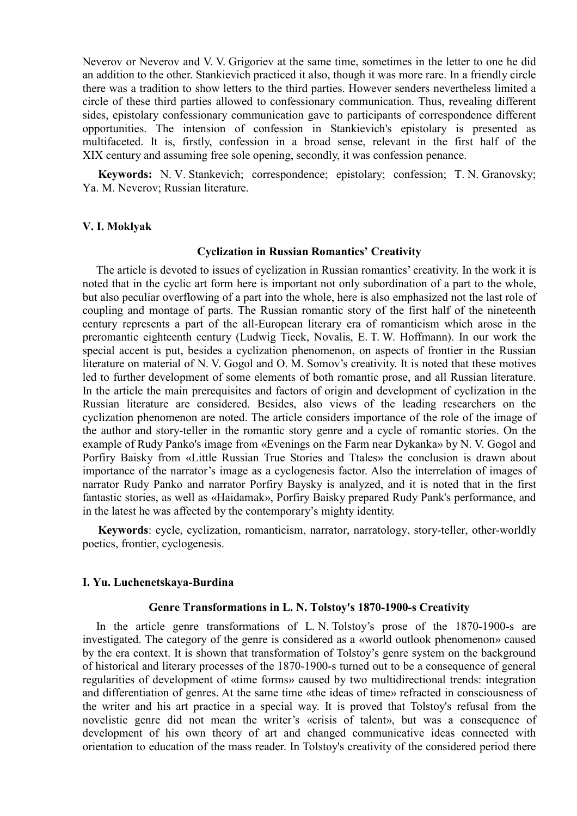Neverov or Neverov and V. V. Grigoriev at the same time, sometimes in the letter to one he did an addition to the other. Stankievich practiced it also, though it was more rare. In a friendly circle there was a tradition to show letters to the third parties. However senders nevertheless limited a circle of these third parties allowed to confessionary communication. Thus, revealing different sides, epistolary confessionary communication gave to participants of correspondence different opportunities. The intension of confession in Stankievich's epistolary is presented as multifaceted. It is, firstly, confession in a broad sense, relevant in the first half of the XIX century and assuming free sole opening, secondly, it was confession penance.

**Keywords:** N. V. Stankevich; correspondence; epistolary; confession; T. N. Granovsky; Ya. M. Neverov; Russian literature.

#### **V. I. Moklyak**

#### **Cyclization in Russian Romantics' Creativity**

The article is devoted to issues of cyclization in Russian romantics' creativity. In the work it is noted that in the cyclic art form here is important not only subordination of a part to the whole, but also peculiar overflowing of a part into the whole, here is also emphasized not the last role of coupling and montage of parts. The Russian romantic story of the first half of the nineteenth century represents a part of the all-European literary era of romanticism which arose in the preromantic eighteenth century (Ludwig Tieck, Novalis, E. T. W. Hoffmann). In our work the special accent is put, besides a cyclization phenomenon, on aspects of frontier in the Russian literature on material of N. V. Gogol and O. M. Somov's creativity. It is noted that these motives led to further development of some elements of both romantic prose, and all Russian literature. In the article the main prerequisites and factors of origin and development of cyclization in the Russian literature are considered. Besides, also views of the leading researchers on the cyclization phenomenon are noted. The article considers importance of the role of the image of the author and story-teller in the romantic story genre and a cycle of romantic stories. On the example of Rudy Panko's image from «Evenings on the Farm near Dykanka» by N. V. Gogol and Porfiry Baisky from «Little Russian True Stories and Ttales» the conclusion is drawn about importance of the narrator's image as a cyclogenesis factor. Also the interrelation of images of narrator Rudy Panko and narrator Porfiry Baysky is analyzed, and it is noted that in the first fantastic stories, as well as «Haidamak», Porfiry Baisky prepared Rudy Pank's performance, and in the latest he was affected by the contemporary's mighty identity.

**Keywords**: cycle, cyclization, romanticism, narrator, narratology, story-teller, other-worldly poetics, frontier, cyclogenesis.

#### **I. Yu. Luchenetskaya-Burdina**

#### **Genre Transformations in L. N. Tolstoy's 1870-1900-s Creativity**

In the article genre transformations of L. N. Tolstoy's prose of the 1870-1900-s are investigated. The category of the genre is considered as a «world outlook phenomenon» caused by the era context. It is shown that transformation of Tolstoy's genre system on the background of historical and literary processes of the 1870-1900-s turned out to be a consequence of general regularities of development of «time forms» caused by two multidirectional trends: integration and differentiation of genres. At the same time «the ideas of time» refracted in consciousness of the writer and his art practice in a special way. It is proved that Tolstoy's refusal from the novelistic genre did not mean the writer's «crisis of talent», but was a consequence of development of his own theory of art and changed communicative ideas connected with orientation to education of the mass reader. In Tolstoy's creativity of the considered period there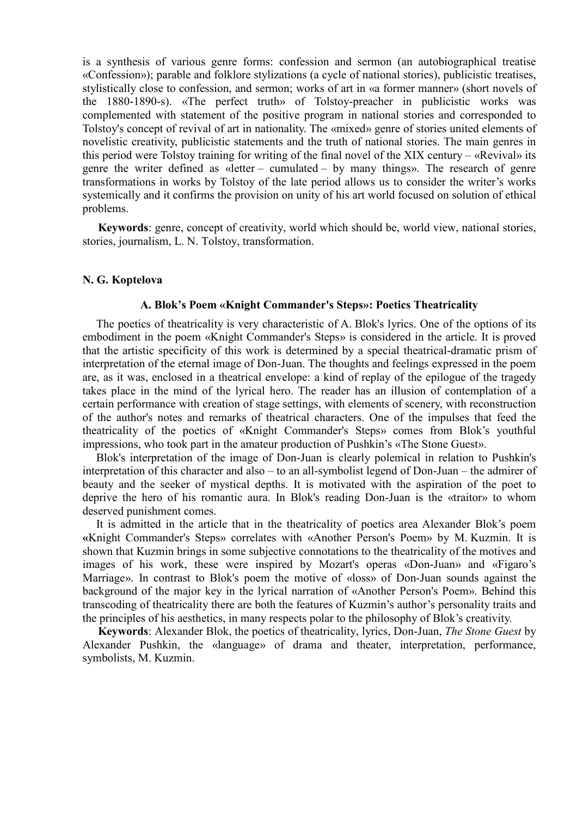is a synthesis of various genre forms: confession and sermon (an autobiographical treatise «Confession»); parable and folklore stylizations (a cycle of national stories), publicistic treatises, stylistically close to confession, and sermon; works of art in «a former manner» (short novels of the 1880-1890-s). «The perfect truth» of Tolstoy-preacher in publicistic works was complemented with statement of the positive program in national stories and corresponded to Tolstoy's concept of revival of art in nationality. The «mixed» genre of stories united elements of novelistic creativity, publicistic statements and the truth of national stories. The main genres in this period were Tolstoy training for writing of the final novel of the XIX century – «Revival» its genre the writer defined as «letter – cumulated – by many things». The research of genre transformations in works by Tolstoy of the late period allows us to consider the writer's works systemically and it confirms the provision on unity of his art world focused on solution of ethical problems.

**Keywords**: genre, concept of creativity, world which should be, world view, national stories, stories, journalism, L. N. Tolstoy, transformation.

#### **N. G. Koptelova**

#### **A. Blok's Poem «Knight Commander's Steps»: Poetics Theatricality**

The poetics of theatricality is very characteristic of A. Blok's lyrics. One of the options of its embodiment in the poem «Knight Commander's Steps» is considered in the article. It is proved that the artistic specificity of this work is determined by a special theatrical-dramatic prism of interpretation of the eternal image of Don-Juan. The thoughts and feelings expressed in the poem are, as it was, enclosed in a theatrical envelope: a kind of replay of the epilogue of the tragedy takes place in the mind of the lyrical hero. The reader has an illusion of contemplation of a certain performance with creation of stage settings, with elements of scenery, with reconstruction of the author's notes and remarks of theatrical characters. One of the impulses that feed the theatricality of the poetics of «Knight Commander's Steps» comes from Blok's youthful impressions, who took part in the amateur production of Pushkin's «The Stone Guest».

Blok's interpretation of the image of Don-Juan is clearly polemical in relation to Pushkin's interpretation of this character and also – to an all-symbolist legend of Don-Juan – the admirer of beauty and the seeker of mystical depths. It is motivated with the aspiration of the poet to deprive the hero of his romantic aura. In Blok's reading Don-Juan is the «traitor» to whom deserved punishment comes.

It is admitted in the article that in the theatricality of poetics area Alexander Blok's poem **«**Knight Commander's Steps» correlates with «Another Person's Poem» by M. Kuzmin. It is shown that Kuzmin brings in some subjective connotations to the theatricality of the motives and images of his work, these were inspired by Mozart's operas «Don-Juan» and «Figaro's Marriage». In contrast to Blok's poem the motive of «loss» of Don-Juan sounds against the background of the major key in the lyrical narration of «Another Person's Poem». Behind this transcoding of theatricality there are both the features of Kuzmin's author's personality traits and the principles of his aesthetics, in many respects polar to the philosophy of Blok's creativity.

**Keywords**: Alexander Blok, the poetics of theatricality, lyrics, Don-Juan, *The Stone Guest* by Alexander Pushkin, the «language» of drama and theater, interpretation, performance, symbolists, M. Kuzmin.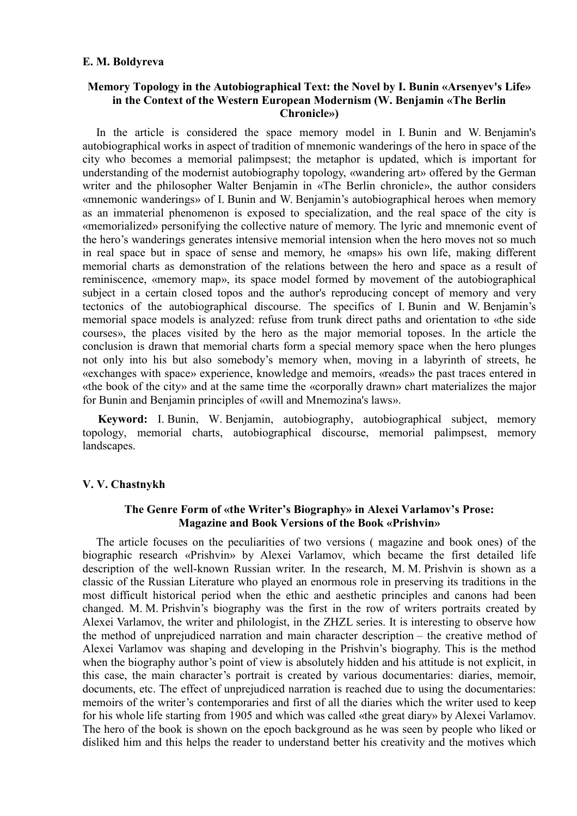#### **E. M. Boldyreva**

# **Memory Topology in the Autobiographical Text: the Novel by I. Bunin «Arsenyev's Life» in the Context of the Western European Modernism (W. Benjamin «The Berlin Chronicle»)**

In the article is considered the space memory model in I. Bunin and W. Benjamin's autobiographical works in aspect of tradition of mnemonic wanderings of the hero in space of the city who becomes a memorial palimpsest; the metaphor is updated, which is important for understanding of the modernist autobiography topology, «wandering art» offered by the German writer and the philosopher Walter Benjamin in «The Berlin chronicle», the author considers «mnemonic wanderings» of I. Bunin and W. Benjamin's autobiographical heroes when memory as an immaterial phenomenon is exposed to specialization, and the real space of the city is «memorialized» personifying the collective nature of memory. The lyric and mnemonic event of the hero's wanderings generates intensive memorial intension when the hero moves not so much in real space but in space of sense and memory, he «maps» his own life, making different memorial charts as demonstration of the relations between the hero and space as a result of reminiscence, «memory map», its space model formed by movement of the autobiographical subject in a certain closed topos and the author's reproducing concept of memory and very tectonics of the autobiographical discourse. The specifics of I. Bunin and W. Benjamin's memorial space models is analyzed: refuse from trunk direct paths and orientation to «the side courses», the places visited by the hero as the major memorial toposes. In the article the conclusion is drawn that memorial charts form a special memory space when the hero plunges not only into his but also somebody's memory when, moving in a labyrinth of streets, he «exchanges with space» experience, knowledge and memoirs, «reads» the past traces entered in «the book of the city» and at the same time the «corporally drawn» chart materializes the major for Bunin and Benjamin principles of «will and Mnemozina's laws».

**Keyword:** I. Bunin, W. Benjamin, autobiography, autobiographical subject, memory topology, memorial charts, autobiographical discourse, memorial palimpsest, memory landscapes.

#### **V. V. Chastnykh**

# **The Genre Form of «the Writer's Biography» in Alexei Varlamov's Prose: Magazine and Book Versions of the Book «Prishvin»**

The article focuses on the peculiarities of two versions ( magazine and book ones) of the biographic research «Prishvin» by Alexei Varlamov, which became the first detailed life description of the well-known Russian writer. In the research, M. M. Prishvin is shown as a classic of the Russian Literature who played an enormous role in preserving its traditions in the most difficult historical period when the ethic and aesthetic principles and canons had been changed. M. M. Prishvin's biography was the first in the row of writers portraits created by Alexei Varlamov, the writer and philologist, in the ZHZL series. It is interesting to observe how the method of unprejudiced narration and main character description – the creative method of Alexei Varlamov was shaping and developing in the Prishvin's biography. This is the method when the biography author's point of view is absolutely hidden and his attitude is not explicit, in this case, the main character's portrait is created by various documentaries: diaries, memoir, documents, etc. The effect of unprejudiced narration is reached due to using the documentaries: memoirs of the writer's contemporaries and first of all the diaries which the writer used to keep for his whole life starting from 1905 and which was called «the great diary» by Alexei Varlamov. The hero of the book is shown on the epoch background as he was seen by people who liked or disliked him and this helps the reader to understand better his creativity and the motives which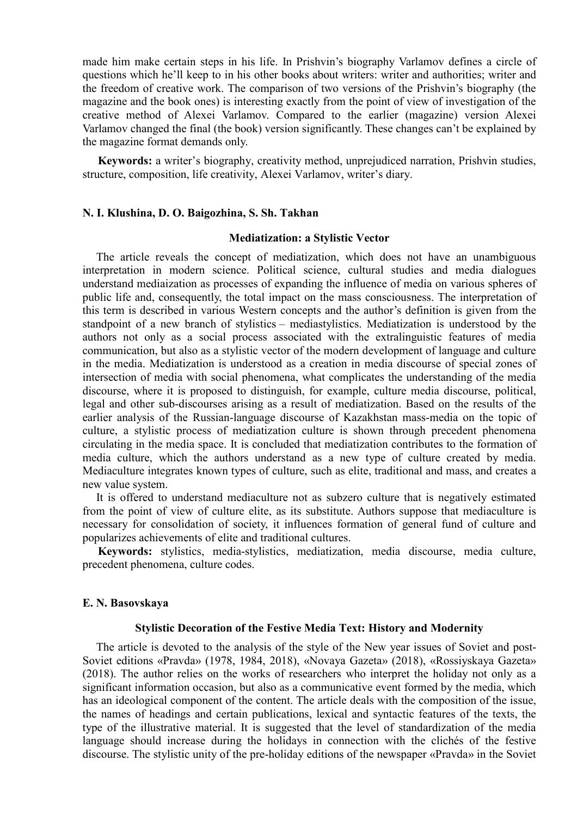made him make certain steps in his life. In Prishvin's biography Varlamov defines a circle of questions which he'll keep to in his other books about writers: writer and authorities; writer and the freedom of creative work. The comparison of two versions of the Prishvin's biography (the magazine and the book ones) is interesting exactly from the point of view of investigation of the creative method of Alexei Varlamov. Compared to the earlier (magazine) version Alexei Varlamov changed the final (the book) version significantly. These changes can't be explained by the magazine format demands only.

**Keywords:** a writer's biography, creativity method, unprejudiced narration, Prishvin studies, structure, composition, life creativity, Alexei Varlamov, writer's diary.

### **N. I. Klushina, D. O. Baigozhina, S. Sh. Takhan**

# **Mediatization: a Stylistic Vector**

The article reveals the concept of mediatization, which does not have an unambiguous interpretation in modern science. Political science, cultural studies and media dialogues understand mediaization as processes of expanding the influence of media on various spheres of public life and, consequently, the total impact on the mass consciousness. The interpretation of this term is described in various Western concepts and the author's definition is given from the standpoint of a new branch of stylistics – mediastylistics. Mediatization is understood by the authors not only as a social process associated with the extralinguistic features of media communication, but also as a stylistic vector of the modern development of language and culture in the media. Mediatization is understood as a creation in media discourse of special zones of intersection of media with social phenomena, what complicates the understanding of the media discourse, where it is proposed to distinguish, for example, culture media discourse, political, legal and other sub-discourses arising as a result of mediatization. Based on the results of the earlier analysis of the Russian-language discourse of Kazakhstan mass-media on the topic of culture, a stylistic process of mediatization culture is shown through precedent phenomena circulating in the media space. It is concluded that mediatization contributes to the formation of media culture, which the authors understand as a new type of culture created by media. Mediaculture integrates known types of culture, such as elite, traditional and mass, and creates a new value system.

It is offered to understand mediaculture not as subzero culture that is negatively estimated from the point of view of culture elite, as its substitute. Authors suppose that mediaculture is necessary for consolidation of society, it influences formation of general fund of culture and popularizes achievements of elite and traditional cultures.

**Keywords:** stylistics, media-stylistics, mediatization, media discourse, media culture, precedent phenomena, culture codes.

#### **E. N. Basovskaya**

#### **Stylistic Decoration of the Festive Media Text: History and Modernity**

The article is devoted to the analysis of the style of the New year issues of Soviet and post-Soviet editions «Pravda» (1978, 1984, 2018), «Novaya Gazeta» (2018), «Rossiyskaya Gazeta» (2018). The author relies on the works of researchers who interpret the holiday not only as a significant information occasion, but also as a communicative event formed by the media, which has an ideological component of the content. The article deals with the composition of the issue, the names of headings and certain publications, lexical and syntactic features of the texts, the type of the illustrative material. It is suggested that the level of standardization of the media language should increase during the holidays in connection with the clichés of the festive discourse. The stylistic unity of the pre-holiday editions of the newspaper «Pravda» in the Soviet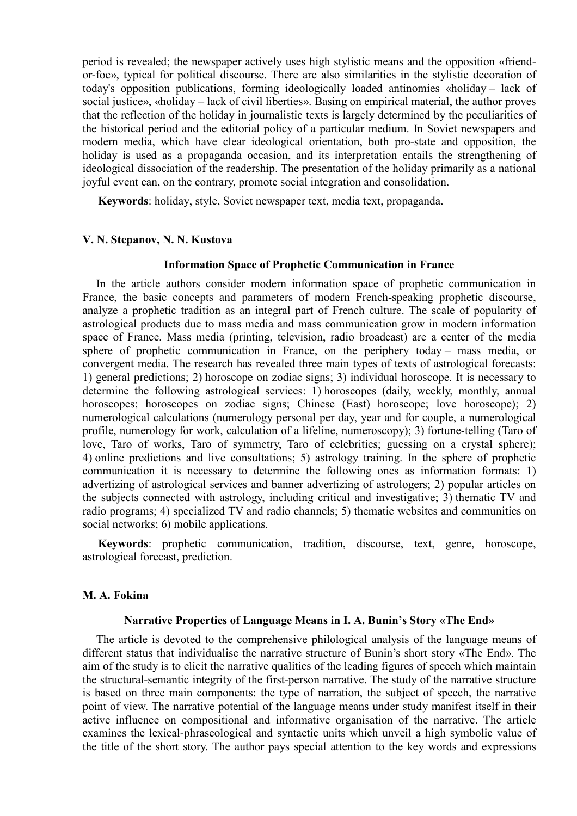period is revealed; the newspaper actively uses high stylistic means and the opposition «friendor-foe», typical for political discourse. There are also similarities in the stylistic decoration of today's opposition publications, forming ideologically loaded antinomies «holiday – lack of social justice», «holiday – lack of civil liberties». Basing on empirical material, the author proves that the reflection of the holiday in journalistic texts is largely determined by the peculiarities of the historical period and the editorial policy of a particular medium. In Soviet newspapers and modern media, which have clear ideological orientation, both pro-state and opposition, the holiday is used as a propaganda occasion, and its interpretation entails the strengthening of ideological dissociation of the readership. The presentation of the holiday primarily as a national joyful event can, on the contrary, promote social integration and consolidation.

**Keywords**: holiday, style, Soviet newspaper text, media text, propaganda.

## **V. N. Stepanov, N. N. Kustova**

#### **Information Space of Prophetic Communication in France**

In the article authors consider modern information space of prophetic communication in France, the basic concepts and parameters of modern French-speaking prophetic discourse, analyze a prophetic tradition as an integral part of French culture. The scale of popularity of astrological products due to mass media and mass communication grow in modern information space of France. Mass media (printing, television, radio broadcast) are a center of the media sphere of prophetic communication in France, on the periphery today – mass media, or convergent media. The research has revealed three main types of texts of astrological forecasts: 1) general predictions; 2) horoscope on zodiac signs; 3) individual horoscope. It is necessary to determine the following astrological services: 1) horoscopes (daily, weekly, monthly, annual horoscopes; horoscopes on zodiac signs; Chinese (East) horoscope; love horoscope); 2) numerological calculations (numerology personal per day, year and for couple, a numerological profile, numerology for work, calculation of a lifeline, numeroscopy); 3) fortune-telling (Taro of love, Taro of works, Taro of symmetry, Taro of celebrities; guessing on a crystal sphere); 4) online predictions and live consultations; 5) astrology training. In the sphere of prophetic communication it is necessary to determine the following ones as information formats: 1) advertizing of astrological services and banner advertizing of astrologers; 2) popular articles on the subjects connected with astrology, including critical and investigative; 3) thematic TV and radio programs; 4) specialized TV and radio channels; 5) thematic websites and communities on social networks; 6) mobile applications.

**Keywords**: prophetic communication, tradition, discourse, text, genre, horoscope, astrological forecast, prediction.

#### **M. A. Fokina**

# **Narrative Properties of Language Means in I. A. Bunin's Story «The End»**

The article is devoted to the comprehensive philological analysis of the language means of different status that individualise the narrative structure of Bunin's short story «The End». The aim of the study is to elicit the narrative qualities of the leading figures of speech which maintain the structural-semantic integrity of the first-person narrative. The study of the narrative structure is based on three main components: the type of narration, the subject of speech, the narrative point of view. The narrative potential of the language means under study manifest itself in their active influence on compositional and informative organisation of the narrative. The article examines the lexical-phraseological and syntactic units which unveil a high symbolic value of the title of the short story. The author pays special attention to the key words and expressions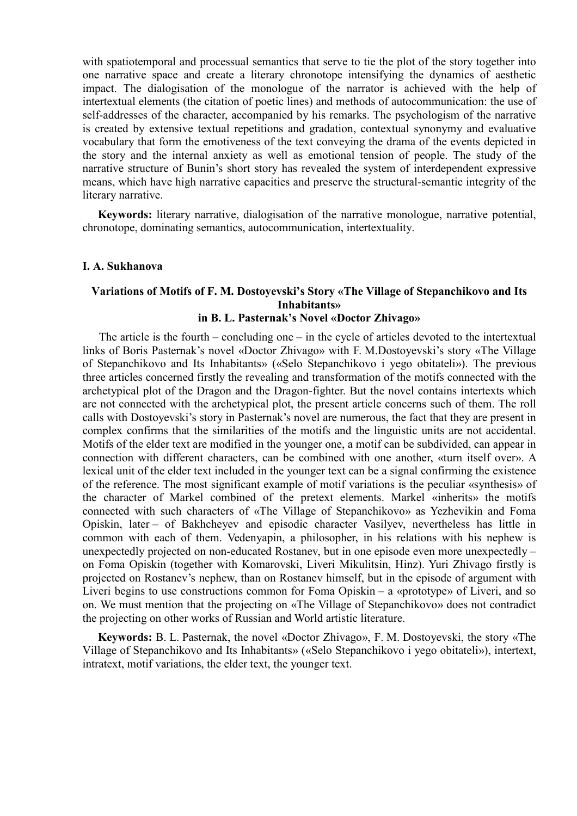with spatiotemporal and processual semantics that serve to tie the plot of the story together into one narrative space and create a literary chronotope intensifying the dynamics of aesthetic impact. The dialogisation of the monologue of the narrator is achieved with the help of intertextual elements (the citation of poetic lines) and methods of autocommunication: the use of self-addresses of the character, accompanied by his remarks. The psychologism of the narrative is created by extensive textual repetitions and gradation, contextual synonymy and evaluative vocabulary that form the emotiveness of the text conveying the drama of the events depicted in the story and the internal anxiety as well as emotional tension of people. The study of the narrative structure of Bunin's short story has revealed the system of interdependent expressive means, which have high narrative capacities and preserve the structural-semantic integrity of the literary narrative.

**Keywords:** literary narrative, dialogisation of the narrative monologue, narrative potential, chronotope, dominating semantics, autocommunication, intertextuality.

#### **I. A. Sukhanova**

# **Variations of Motifs of F. M. Dostoyevski's Story «The Village of Stepanchikovo and Its Inhabitants»**

# **in B. L. Pasternak's Novel «Doctor Zhivago»**

 The article is the fourth – concluding one – in the cycle of articles devoted to the intertextual links of Boris Pasternak's novel «Doctor Zhivago» with F. M.Dostoyevski's story «The Village of Stepanchikovo and Its Inhabitants» («Selo Stepanchikovo i yego obitateli»). The previous three articles concerned firstly the revealing and transformation of the motifs connected with the archetypical plot of the Dragon and the Dragon-fighter. But the novel contains intertexts which are not connected with the archetypical plot, the present article concerns such of them. The roll calls with Dostoyevski's story in Pasternak's novel are numerous, the fact that they are present in complex confirms that the similarities of the motifs and the linguistic units are not accidental. Motifs of the elder text are modified in the younger one, a motif can be subdivided, can appear in connection with different characters, can be combined with one another, «turn itself over». A lexical unit of the elder text included in the younger text can be a signal confirming the existence of the reference. The most significant example of motif variations is the peculiar «synthesis» of the character of Markel combined of the pretext elements. Markel «inherits» the motifs connected with such characters of «The Village of Stepanchikovo» as Yezhevikin and Foma Opiskin, later – of Bakhcheyev and episodic character Vasilyev, nevertheless has little in common with each of them. Vedenyapin, a philosopher, in his relations with his nephew is unexpectedly projected on non-educated Rostanev, but in one episode even more unexpectedly – on Foma Opiskin (together with Komarovski, Liveri Mikulitsin, Hinz). Yuri Zhivago firstly is projected on Rostanev's nephew, than on Rostanev himself, but in the episode of argument with Liveri begins to use constructions common for Foma Opiskin – a «prototype» of Liveri, and so on. We must mention that the projecting on «The Village of Stepanchikovo» does not contradict the projecting on other works of Russian and World artistic literature.

**Keywords:** B. L. Pasternak, the novel «Doctor Zhivago», F. M. Dostoyevski, the story «The Village of Stepanchikovo and Its Inhabitants» («Selo Stepanchikovo i yego obitateli»), intertext, intratext, motif variations, the elder text, the younger text.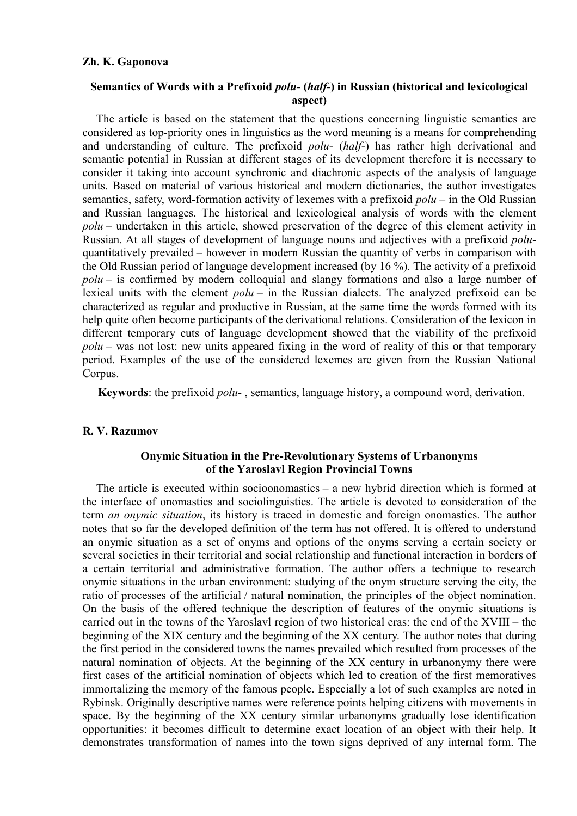## **Zh. K. Gaponova**

# **Semantics of Words with a Prefixoid** *polu***- (***half***-) in Russian (historical and lexicological aspect)**

The article is based on the statement that the questions concerning linguistic semantics are considered as top-priority ones in linguistics as the word meaning is a means for comprehending and understanding of culture. The prefixoid *polu*- (*half*-) has rather high derivational and semantic potential in Russian at different stages of its development therefore it is necessary to consider it taking into account synchronic and diachronic aspects of the analysis of language units. Based on material of various historical and modern dictionaries, the author investigates semantics, safety, word-formation activity of lexemes with a prefixoid *polu* – in the Old Russian and Russian languages. The historical and lexicological analysis of words with the element *polu* – undertaken in this article, showed preservation of the degree of this element activity in Russian. At all stages of development of language nouns and adjectives with a prefixoid *polu*quantitatively prevailed – however in modern Russian the quantity of verbs in comparison with the Old Russian period of language development increased (by 16 %). The activity of a prefixoid *polu* – is confirmed by modern colloquial and slangy formations and also a large number of lexical units with the element *polu* – in the Russian dialects. The analyzed prefixoid can be characterized as regular and productive in Russian, at the same time the words formed with its help quite often become participants of the derivational relations. Consideration of the lexicon in different temporary cuts of language development showed that the viability of the prefixoid *polu* – was not lost: new units appeared fixing in the word of reality of this or that temporary period. Examples of the use of the considered lexemes are given from the Russian National Corpus.

**Keywords**: the prefixoid *polu*- , semantics, language history, a compound word, derivation.

# **R. V. Razumov**

# **Onymic Situation in the Pre-Revolutionary Systems of Urbanonyms of the Yaroslavl Region Provincial Towns**

The article is executed within socioonomastics – a new hybrid direction which is formed at the interface of onomastics and sociolinguistics. The article is devoted to consideration of the term *an onymic situation*, its history is traced in domestic and foreign onomastics. The author notes that so far the developed definition of the term has not offered. It is offered to understand an onymic situation as a set of onyms and options of the onyms serving a certain society or several societies in their territorial and social relationship and functional interaction in borders of a certain territorial and administrative formation. The author offers a technique to research onymic situations in the urban environment: studying of the onym structure serving the city, the ratio of processes of the artificial / natural nomination, the principles of the object nomination. On the basis of the offered technique the description of features of the onymic situations is carried out in the towns of the Yaroslavl region of two historical eras: the end of the XVIII – the beginning of the XIX century and the beginning of the XX century. The author notes that during the first period in the considered towns the names prevailed which resulted from processes of the natural nomination of objects. At the beginning of the XX century in urbanonymy there were first cases of the artificial nomination of objects which led to creation of the first memoratives immortalizing the memory of the famous people. Especially a lot of such examples are noted in Rybinsk. Originally descriptive names were reference points helping citizens with movements in space. By the beginning of the XX century similar urbanonyms gradually lose identification opportunities: it becomes difficult to determine exact location of an object with their help. It demonstrates transformation of names into the town signs deprived of any internal form. The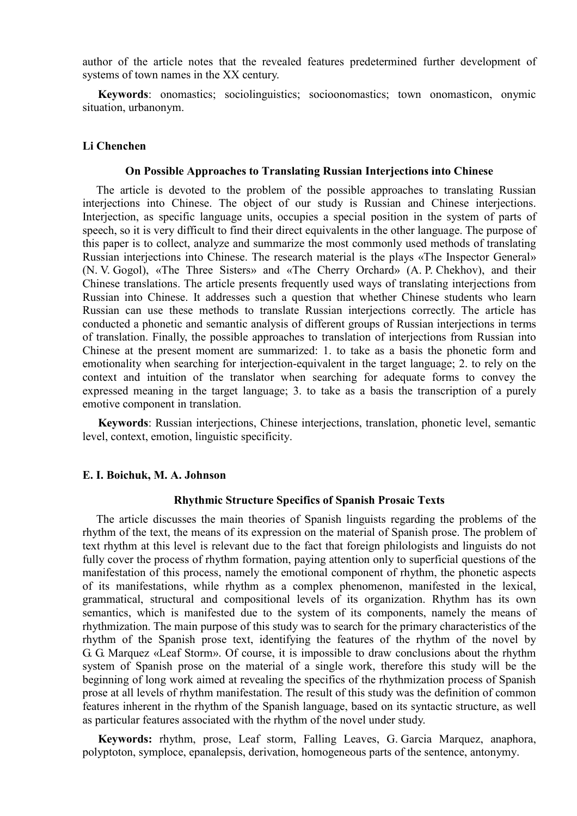author of the article notes that the revealed features predetermined further development of systems of town names in the XX century.

**Keywords**: onomastics; sociolinguistics; socioonomastics; town onomasticon, onymic situation, urbanonym.

#### **Li Chenchen**

#### **On Possible Approaches to Translating Russian Interjections into Chinese**

The article is devoted to the problem of the possible approaches to translating Russian interjections into Chinese. The object of our study is Russian and Chinese interjections. Interjection, as specific language units, occupies a special position in the system of parts of speech, so it is very difficult to find their direct equivalents in the other language. The purpose of this paper is to collect, analyze and summarize the most commonly used methods of translating Russian interjections into Chinese. The research material is the plays «The Inspector General» (N. V. Gogol), «The Three Sisters» and «The Cherry Orchard» (A. P. Chekhov), and their Chinese translations. The article presents frequently used ways of translating interjections from Russian into Chinese. It addresses such a question that whether Chinese students who learn Russian can use these methods to translate Russian interjections correctly. The article has conducted a phonetic and semantic analysis of different groups of Russian interjections in terms of translation. Finally, the possible approaches to translation of interjections from Russian into Chinese at the present moment are summarized: 1. to take as a basis the phonetic form and emotionality when searching for interjection-equivalent in the target language; 2. to rely on the context and intuition of the translator when searching for adequate forms to convey the expressed meaning in the target language; 3. to take as a basis the transcription of a purely emotive component in translation.

**Keywords**: Russian interjections, Chinese interjections, translation, phonetic level, semantic level, context, emotion, linguistic specificity.

# **E. I. Boichuk, M. A. Johnson**

#### **Rhythmic Structure Specifics of Spanish Prosaic Texts**

The article discusses the main theories of Spanish linguists regarding the problems of the rhythm of the text, the means of its expression on the material of Spanish prose. The problem of text rhythm at this level is relevant due to the fact that foreign philologists and linguists do not fully cover the process of rhythm formation, paying attention only to superficial questions of the manifestation of this process, namely the emotional component of rhythm, the phonetic aspects of its manifestations, while rhythm as a complex phenomenon, manifested in the lexical, grammatical, structural and compositional levels of its organization. Rhythm has its own semantics, which is manifested due to the system of its components, namely the means of rhythmization. The main purpose of this study was to search for the primary characteristics of the rhythm of the Spanish prose text, identifying the features of the rhythm of the novel by G. G. Marquez «Leaf Storm». Of course, it is impossible to draw conclusions about the rhythm system of Spanish prose on the material of a single work, therefore this study will be the beginning of long work aimed at revealing the specifics of the rhythmization process of Spanish prose at all levels of rhythm manifestation. The result of this study was the definition of common features inherent in the rhythm of the Spanish language, based on its syntactic structure, as well as particular features associated with the rhythm of the novel under study.

**Keywords:** rhythm, prose, Leaf storm, Falling Leaves, G. Garcia Marquez, anaphora, polyptoton, symploce, epanalepsis, derivation, homogeneous parts of the sentence, antonymy.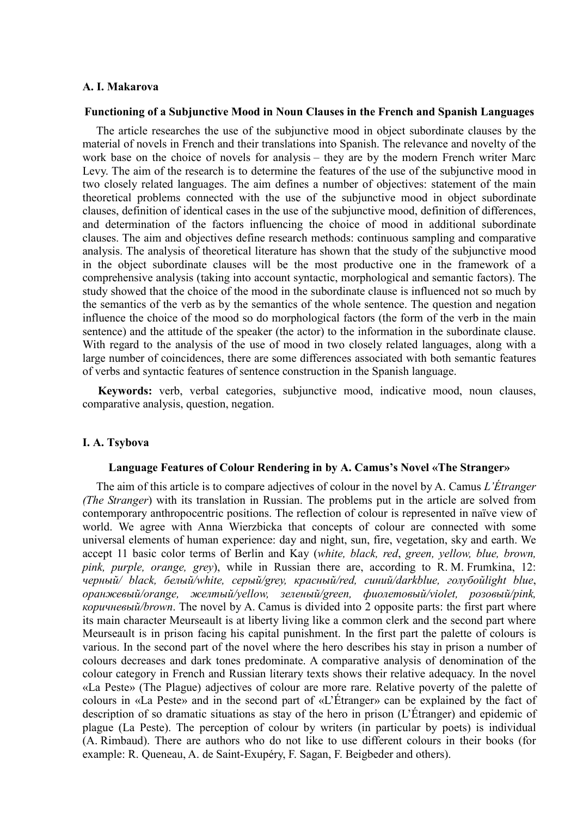#### **A. I. Makarova**

# **Functioning of a Subjunctive Mood in Noun Clauses in the French and Spanish Languages**

The article researches the use of the subjunctive mood in object subordinate clauses by the material of novels in French and their translations into Spanish. The relevance and novelty of the work base on the choice of novels for analysis – they are by the modern French writer Marc Levy. The aim of the research is to determine the features of the use of the subjunctive mood in two closely related languages. The aim defines a number of objectives: statement of the main theoretical problems connected with the use of the subjunctive mood in object subordinate clauses, definition of identical cases in the use of the subjunctive mood, definition of differences, and determination of the factors influencing the choice of mood in additional subordinate clauses. The aim and objectives define research methods: continuous sampling and comparative analysis. The analysis of theoretical literature has shown that the study of the subjunctive mood in the object subordinate clauses will be the most productive one in the framework of a comprehensive analysis (taking into account syntactic, morphological and semantic factors). The study showed that the choice of the mood in the subordinate clause is influenced not so much by the semantics of the verb as by the semantics of the whole sentence. The question and negation influence the choice of the mood so do morphological factors (the form of the verb in the main sentence) and the attitude of the speaker (the actor) to the information in the subordinate clause. With regard to the analysis of the use of mood in two closely related languages, along with a large number of coincidences, there are some differences associated with both semantic features of verbs and syntactic features of sentence construction in the Spanish language.

**Keywords:** verb, verbal categories, subjunctive mood, indicative mood, noun clauses, comparative analysis, question, negation.

#### **I. A. Tsybova**

#### **Language Features of Colour Rendering in by A. Camus's Novel «The Stranger»**

The aim of this article is to compare adjectives of colour in the novel by A. Camus *L'Étranger (The Stranger*) with its translation in Russian. The problems put in the article are solved from contemporary anthropocentric positions. The reflection of colour is represented in naïve view of world. We agree with Anna Wierzbicka that concepts of colour are connected with some universal elements of human experience: day and night, sun, fire, vegetation, sky and earth. We accept 11 basic color terms of Berlin and Kay (*white, black, red*, *green, yellow, blue, brown, pink, purple, orange, grey*), while in Russian there are, according to R. M. Frumkina, 12: *черный/ black, белый/white, серый/grey, красный/red, синий/darkblue, голубойlight blue*, *оранжевый/orange, желтый/yellow, зеленый/green, фиолетовый/violet, розовый/pink, коричневый/brown*. The novel by A. Camus is divided into 2 opposite parts: the first part where its main character Meurseault is at liberty living like a common clerk and the second part where Meurseault is in prison facing his capital punishment. In the first part the palette of colours is various. In the second part of the novel where the hero describes his stay in prison a number of colours decreases and dark tones predominate. A comparative analysis of denomination of the colour category in French and Russian literary texts shows their relative adequacy. In the novel «La Peste» (The Plague) adjectives of colour are more rare. Relative poverty of the palette of colours in «La Peste» and in the second part of «L'Étranger» can be explained by the fact of description of so dramatic situations as stay of the hero in prison (L'Étranger) and epidemic of plague (La Peste). The perception of colour by writers (in particular by poets) is individual (A. Rimbaud). There are authors who do not like to use different colours in their books (for example: R. Queneau, A. de Saint-Exupéry, F. Sagan, F. Beigbeder and others).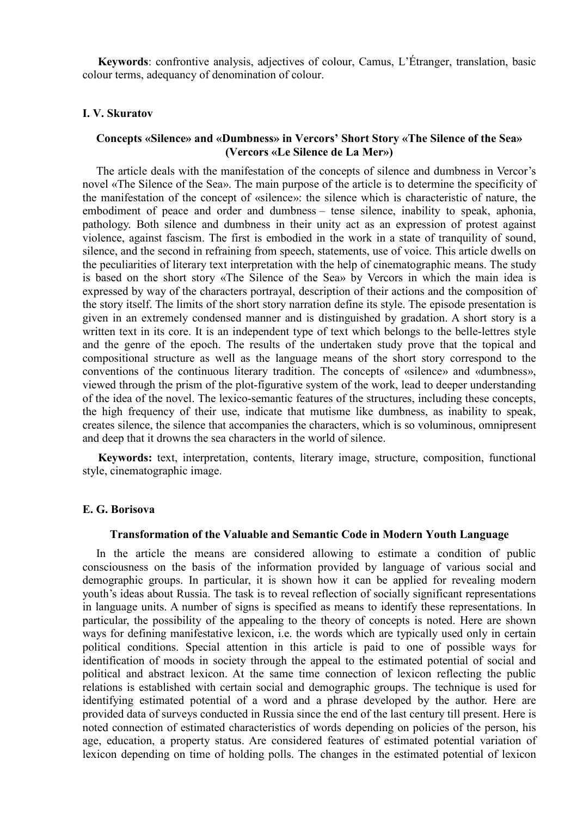**Keywords**: confrontive analysis, adjectives of colour, Camus, L'Étranger, translation, basic colour terms, adequancy of denomination of colour.

#### **I. V. Skuratov**

# **Concepts «Silence» and «Dumbness» in Vercors' Short Story «The Silence of the Sea» (Vercors «Le Silence de La Mer»)**

The article deals with the manifestation of the concepts of silence and dumbness in Vercor's novel «The Silence of the Sea». The main purpose of the article is to determine the specificity of the manifestation of the concept of «silence»: the silence which is characteristic of nature, the embodiment of peace and order and dumbness – tense silence, inability to speak, aphonia, pathology. Both silence and dumbness in their unity act as an expression of protest against violence, against fascism. The first is embodied in the work in a state of tranquility of sound, silence, and the second in refraining from speech, statements, use of voice. This article dwells on the peculiarities of literary text interpretation with the help of cinematographic means. The study is based on the short story «The Silence of the Sea» by Vercors in which the main idea is expressed by way of the characters portrayal, description of their actions and the composition of the story itself. The limits of the short story narration define its style. The episode presentation is given in an extremely condensed manner and is distinguished by gradation. A short story is a written text in its core. It is an independent type of text which belongs to the belle-lettres style and the genre of the epoch. The results of the undertaken study prove that the topical and compositional structure as well as the language means of the short story correspond to the conventions of the continuous literary tradition. The concepts of «silence» and «dumbness», viewed through the prism of the plot-figurative system of the work, lead to deeper understanding of the idea of the novel. The lexico-semantic features of the structures, including these concepts, the high frequency of their use, indicate that mutisme like dumbness, as inability to speak, creates silence, the silence that accompanies the characters, which is so voluminous, omnipresent and deep that it drowns the sea characters in the world of silence.

**Keywords:** text, interpretation, contents, literary image, structure, composition, functional style, cinematographic image.

### **E. G. Borisova**

### **Transformation of the Valuable and Semantic Code in Modern Youth Language**

In the article the means are considered allowing to estimate a condition of public consciousness on the basis of the information provided by language of various social and demographic groups. In particular, it is shown how it can be applied for revealing modern youth's ideas about Russia. The task is to reveal reflection of socially significant representations in language units. A number of signs is specified as means to identify these representations. In particular, the possibility of the appealing to the theory of concepts is noted. Here are shown ways for defining manifestative lexicon, i.e. the words which are typically used only in certain political conditions. Special attention in this article is paid to one of possible ways for identification of moods in society through the appeal to the estimated potential of social and political and abstract lexicon. At the same time connection of lexicon reflecting the public relations is established with certain social and demographic groups. The technique is used for identifying estimated potential of a word and a phrase developed by the author. Here are provided data of surveys conducted in Russia since the end of the last century till present. Here is noted connection of estimated characteristics of words depending on policies of the person, his age, education, a property status. Are considered features of estimated potential variation of lexicon depending on time of holding polls. The changes in the estimated potential of lexicon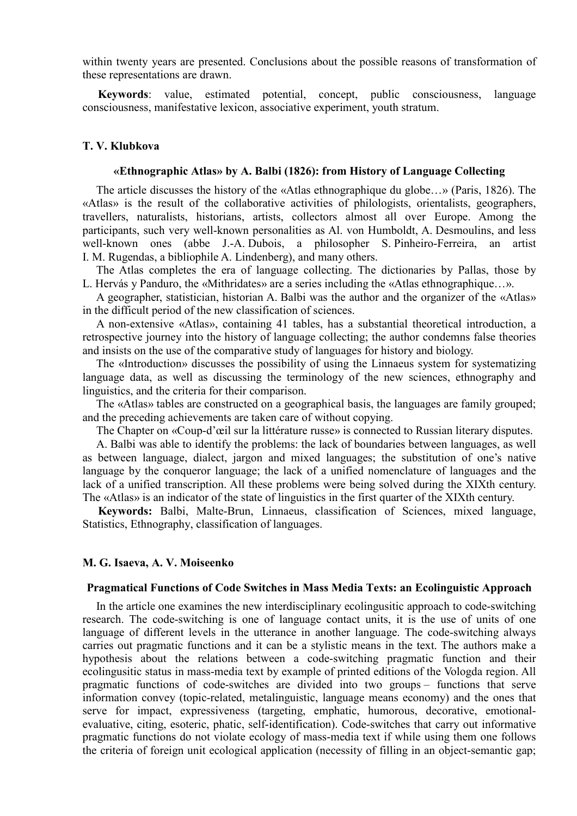within twenty years are presented. Conclusions about the possible reasons of transformation of these representations are drawn.

**Keywords**: value, estimated potential, concept, public consciousness, language consciousness, manifestative lexicon, associative experiment, youth stratum.

# **T. V. Klubkova**

# **«Ethnographic Atlas» by A. Balbi (1826): from History of Language Collecting**

The article discusses the history of the «Atlas ethnographique du globe…» (Paris, 1826). The «Atlas» is the result of the collaborative activities of philologists, orientalists, geographers, travellers, naturalists, historians, artists, collectors almost all over Europe. Among the participants, such very well-known personalities as Al. von Humboldt, A. Desmoulins, and less well-known ones (abbe J.-A. Dubois, a philosopher S. Pinheiro-Ferreira, an artist I. M. Rugendas, a bibliophile A. Lindenberg), and many others.

The Atlas completes the era of language collecting. The dictionaries by Pallas, those by L. Hervás y Panduro, the «Mithridates» are a series including the «Atlas ethnographique…».

A geographer, statistician, historian A. Balbi was the author and the organizer of the «Atlas» in the difficult period of the new classification of sciences.

A non-extensive «Atlas», containing 41 tables, has a substantial theoretical introduction, a retrospective journey into the history of language collecting; the author condemns false theories and insists on the use of the comparative study of languages for history and biology.

The «Introduction» discusses the possibility of using the Linnaeus system for systematizing language data, as well as discussing the terminology of the new sciences, ethnography and linguistics, and the criteria for their comparison.

The «Atlas» tables are constructed on a geographical basis, the languages are family grouped; and the preceding achievements are taken care of without copying.

The Chapter on «Coup-d'œil sur la littérature russe» is connected to Russian literary disputes.

A. Balbi was able to identify the problems: the lack of boundaries between languages, as well as between language, dialect, jargon and mixed languages; the substitution of one's native language by the conqueror language; the lack of a unified nomenclature of languages and the lack of a unified transcription. All these problems were being solved during the XIXth century. The «Atlas» is an indicator of the state of linguistics in the first quarter of the XIXth century.

**Keywords:** Balbi, Malte-Brun, Linnaeus, classification of Sciences, mixed language, Statistics, Ethnography, classification of languages.

#### **M. G. Isaeva, A. V. Moiseenko**

### **Pragmatical Functions of Code Switches in Mass Media Texts: an Ecolinguistic Approach**

In the article one examines the new interdisciplinary ecolingusitic approach to code-switching research. The code-switching is one of language contact units, it is the use of units of one language of different levels in the utterance in another language. The code-switching always carries out pragmatic functions and it can be a stylistic means in the text. The authors make a hypothesis about the relations between a code-switching pragmatic function and their ecolingusitic status in mass-media text by example of printed editions of the Vologda region. All pragmatic functions of code-switches are divided into two groups – functions that serve information convey (topic-related, metalinguistic, language means economy) and the ones that serve for impact, expressiveness (targeting, emphatic, humorous, decorative, emotionalevaluative, citing, esoteric, phatic, self-identification). Code-switches that carry out informative pragmatic functions do not violate ecology of mass-media text if while using them one follows the criteria of foreign unit ecological application (necessity of filling in an object-semantic gap;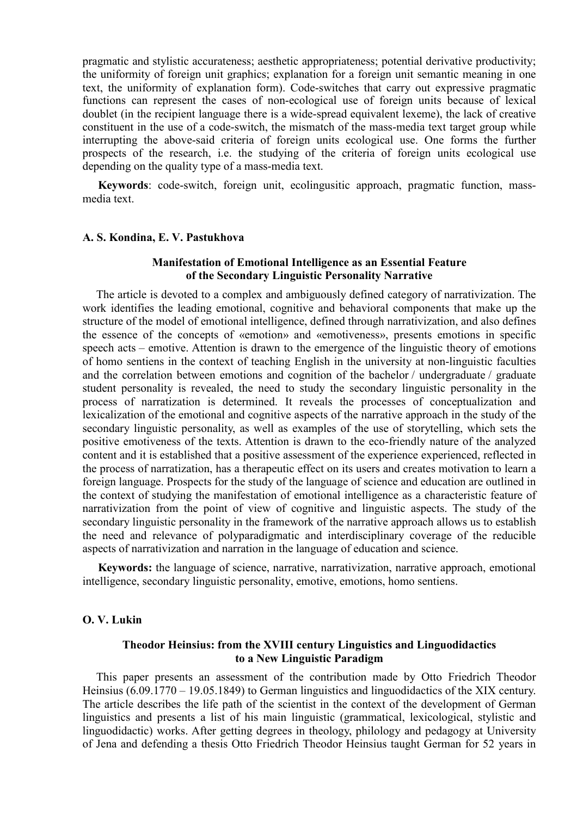pragmatic and stylistic accurateness; aesthetic appropriateness; potential derivative productivity; the uniformity of foreign unit graphics; explanation for a foreign unit semantic meaning in one text, the uniformity of explanation form). Code-switches that carry out expressive pragmatic functions can represent the cases of non-ecological use of foreign units because of lexical doublet (in the recipient language there is a wide-spread equivalent lexeme), the lack of creative constituent in the use of a code-switch, the mismatch of the mass-media text target group while interrupting the above-said criteria of foreign units ecological use. One forms the further prospects of the research, i.e. the studying of the criteria of foreign units ecological use depending on the quality type of a mass-media text.

**Keywords**: code-switch, foreign unit, ecolingusitic approach, pragmatic function, massmedia text.

#### **A. S. Kondina, E. V. Pastukhova**

# **Manifestation of Emotional Intelligence as an Essential Feature of the Secondary Linguistic Personality Narrative**

The article is devoted to a complex and ambiguously defined category of narrativization. The work identifies the leading emotional, cognitive and behavioral components that make up the structure of the model of emotional intelligence, defined through narrativization, and also defines the essence of the concepts of «emotion» and «emotiveness», presents emotions in specific speech acts – emotive. Attention is drawn to the emergence of the linguistic theory of emotions of homo sentiens in the context of teaching English in the university at non-linguistic faculties and the correlation between emotions and cognition of the bachelor / undergraduate / graduate student personality is revealed, the need to study the secondary linguistic personality in the process of narratization is determined. It reveals the processes of conceptualization and lexicalization of the emotional and cognitive aspects of the narrative approach in the study of the secondary linguistic personality, as well as examples of the use of storytelling, which sets the positive emotiveness of the texts. Attention is drawn to the eco-friendly nature of the analyzed content and it is established that a positive assessment of the experience experienced, reflected in the process of narratization, has a therapeutic effect on its users and creates motivation to learn a foreign language. Prospects for the study of the language of science and education are outlined in the context of studying the manifestation of emotional intelligence as a characteristic feature of narrativization from the point of view of cognitive and linguistic aspects. The study of the secondary linguistic personality in the framework of the narrative approach allows us to establish the need and relevance of polyparadigmatic and interdisciplinary coverage of the reducible aspects of narrativization and narration in the language of education and science.

**Keywords:** the language of science, narrative, narrativization, narrative approach, emotional intelligence, secondary linguistic personality, emotive, emotions, homo sentiens.

# **O. V. Lukin**

# **Theodor Heinsius: from the XVIII century Linguistics and Linguodidactics to a New Linguistic Paradigm**

This paper presents an assessment of the contribution made by Otto Friedrich Theodor Heinsius (6.09.1770 – 19.05.1849) to German linguistics and linguodidactics of the XIX century. The article describes the life path of the scientist in the context of the development of German linguistics and presents a list of his main linguistic (grammatical, lexicological, stylistic and linguodidactic) works. After getting degrees in theology, philology and pedagogy at University of Jena and defending a thesis Otto Friedrich Theodor Heinsius taught German for 52 years in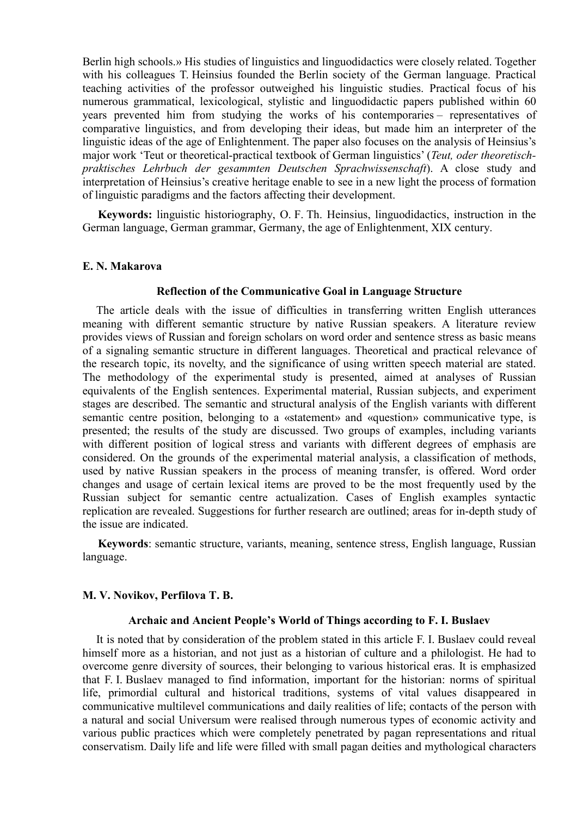Berlin high schools.» His studies of linguistics and linguodidactics were closely related. Together with his colleagues T. Heinsius founded the Berlin society of the German language. Practical teaching activities of the professor outweighed his linguistic studies. Practical focus of his numerous grammatical, lexicological, stylistic and linguodidactic papers published within 60 years prevented him from studying the works of his contemporaries – representatives of comparative linguistics, and from developing their ideas, but made him an interpreter of the linguistic ideas of the age of Enlightenment. The paper also focuses on the analysis of Heinsius's major work 'Teut or theoretical-practical textbook of German linguistics' (*Teut, oder theoretischpraktisches Lehrbuch der gesammten Deutschen Sprachwissenschaft*). A close study and interpretation of Heinsius's creative heritage enable to see in a new light the process of formation of linguistic paradigms and the factors affecting their development.

**Keywords:** linguistic historiography, O. F. Th. Heinsius, linguodidactics, instruction in the German language, German grammar, Germany, the age of Enlightenment, XIX century.

#### **E. N. Makarova**

#### **Reflection of the Communicative Goal in Language Structure**

The article deals with the issue of difficulties in transferring written English utterances meaning with different semantic structure by native Russian speakers. A literature review provides views of Russian and foreign scholars on word order and sentence stress as basic means of a signaling semantic structure in different languages. Theoretical and practical relevance of the research topic, its novelty, and the significance of using written speech material are stated. The methodology of the experimental study is presented, aimed at analyses of Russian equivalents of the English sentences. Experimental material, Russian subjects, and experiment stages are described. The semantic and structural analysis of the English variants with different semantic centre position, belonging to a «statement» and «question» communicative type, is presented; the results of the study are discussed. Two groups of examples, including variants with different position of logical stress and variants with different degrees of emphasis are considered. On the grounds of the experimental material analysis, a classification of methods, used by native Russian speakers in the process of meaning transfer, is offered. Word order changes and usage of certain lexical items are proved to be the most frequently used by the Russian subject for semantic centre actualization. Cases of English examples syntactic replication are revealed. Suggestions for further research are outlined; areas for in-depth study of the issue are indicated.

**Keywords**: semantic structure, variants, meaning, sentence stress, English language, Russian language.

# **M. V. Novikov, Perfilova T. B.**

# **Archaic and Ancient People's World of Things according to F. I. Buslaev**

It is noted that by consideration of the problem stated in this article F. I. Buslaev could reveal himself more as a historian, and not just as a historian of culture and a philologist. He had to overcome genre diversity of sources, their belonging to various historical eras. It is emphasized that F. I. Buslaev managed to find information, important for the historian: norms of spiritual life, primordial cultural and historical traditions, systems of vital values disappeared in communicative multilevel communications and daily realities of life; contacts of the person with a natural and social Universum were realised through numerous types of economic activity and various public practices which were completely penetrated by pagan representations and ritual conservatism. Daily life and life were filled with small pagan deities and mythological characters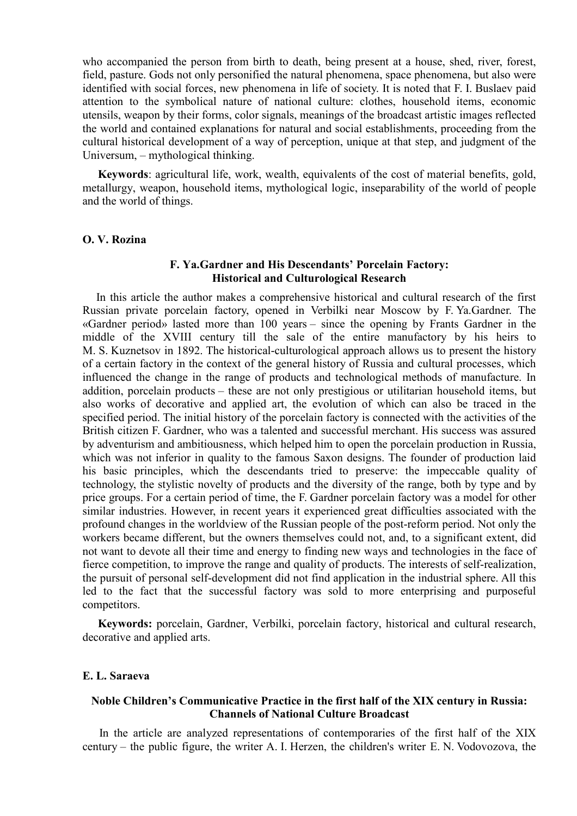who accompanied the person from birth to death, being present at a house, shed, river, forest, field, pasture. Gods not only personified the natural phenomena, space phenomena, but also were identified with social forces, new phenomena in life of society. It is noted that F. I. Buslaev paid attention to the symbolical nature of national culture: clothes, household items, economic utensils, weapon by their forms, color signals, meanings of the broadcast artistic images reflected the world and contained explanations for natural and social establishments, proceeding from the cultural historical development of a way of perception, unique at that step, and judgment of the Universum, – mythological thinking.

**Keywords**: agricultural life, work, wealth, equivalents of the cost of material benefits, gold, metallurgy, weapon, household items, mythological logic, inseparability of the world of people and the world of things.

#### **O. V. Rozina**

## **F. Ya.Gardner and His Descendants' Porcelain Factory: Historical and Culturological Research**

In this article the author makes a comprehensive historical and cultural research of the first Russian private porcelain factory, opened in Verbilki near Moscow by F. Ya.Gardner. The «Gardner period» lasted more than 100 years – since the opening by Frants Gardner in the middle of the XVIII century till the sale of the entire manufactory by his heirs to M. S. Kuznetsov in 1892. The historical-culturological approach allows us to present the history of a certain factory in the context of the general history of Russia and cultural processes, which influenced the change in the range of products and technological methods of manufacture. In addition, porcelain products – these are not only prestigious or utilitarian household items, but also works of decorative and applied art, the evolution of which can also be traced in the specified period. The initial history of the porcelain factory is connected with the activities of the British citizen F. Gardner, who was a talented and successful merchant. His success was assured by adventurism and ambitiousness, which helped him to open the porcelain production in Russia, which was not inferior in quality to the famous Saxon designs. The founder of production laid his basic principles, which the descendants tried to preserve: the impeccable quality of technology, the stylistic novelty of products and the diversity of the range, both by type and by price groups. For a certain period of time, the F. Gardner porcelain factory was a model for other similar industries. However, in recent years it experienced great difficulties associated with the profound changes in the worldview of the Russian people of the post-reform period. Not only the workers became different, but the owners themselves could not, and, to a significant extent, did not want to devote all their time and energy to finding new ways and technologies in the face of fierce competition, to improve the range and quality of products. The interests of self-realization, the pursuit of personal self-development did not find application in the industrial sphere. All this led to the fact that the successful factory was sold to more enterprising and purposeful competitors.

**Keywords:** porcelain, Gardner, Verbilki, porcelain factory, historical and cultural research, decorative and applied arts.

### **E. L. Saraeva**

## **Noble Children's Communicative Practice in the first half of the XIX century in Russia: Channels of National Culture Broadcast**

 In the article are analyzed representations of contemporaries of the first half of the XIX century – the public figure, the writer A. I. Herzen, the children's writer E. N. Vodovozova, the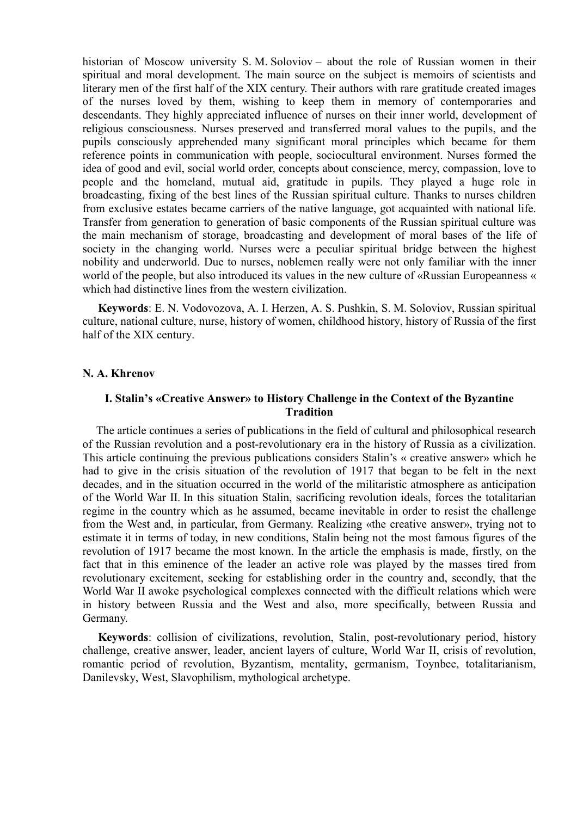historian of Moscow university S. M. Soloviov – about the role of Russian women in their spiritual and moral development. The main source on the subject is memoirs of scientists and literary men of the first half of the XIX century. Their authors with rare gratitude created images of the nurses loved by them, wishing to keep them in memory of contemporaries and descendants. They highly appreciated influence of nurses on their inner world, development of religious consciousness. Nurses preserved and transferred moral values to the pupils, and the pupils consciously apprehended many significant moral principles which became for them reference points in communication with people, sociocultural environment. Nurses formed the idea of good and evil, social world order, concepts about conscience, mercy, compassion, love to people and the homeland, mutual aid, gratitude in pupils. They played a huge role in broadcasting, fixing of the best lines of the Russian spiritual culture. Thanks to nurses children from exclusive estates became carriers of the native language, got acquainted with national life. Transfer from generation to generation of basic components of the Russian spiritual culture was the main mechanism of storage, broadcasting and development of moral bases of the life of society in the changing world. Nurses were a peculiar spiritual bridge between the highest nobility and underworld. Due to nurses, noblemen really were not only familiar with the inner world of the people, but also introduced its values in the new culture of «Russian Europeanness « which had distinctive lines from the western civilization.

**Keywords**: E. N. Vodovozova, A. I. Herzen, A. S. Pushkin, S. M. Soloviov, Russian spiritual culture, national culture, nurse, history of women, childhood history, history of Russia of the first half of the XIX century.

### **N. A. Khrenov**

# **I. Stalin's «Creative Answer» to History Challenge in the Context of the Byzantine Tradition**

The article continues a series of publications in the field of cultural and philosophical research of the Russian revolution and a post-revolutionary era in the history of Russia as a civilization. This article continuing the previous publications considers Stalin's « creative answer» which he had to give in the crisis situation of the revolution of 1917 that began to be felt in the next decades, and in the situation occurred in the world of the militaristic atmosphere as anticipation of the World War II. In this situation Stalin, sacrificing revolution ideals, forces the totalitarian regime in the country which as he assumed, became inevitable in order to resist the challenge from the West and, in particular, from Germany. Realizing «the creative answer», trying not to estimate it in terms of today, in new conditions, Stalin being not the most famous figures of the revolution of 1917 became the most known. In the article the emphasis is made, firstly, on the fact that in this eminence of the leader an active role was played by the masses tired from revolutionary excitement, seeking for establishing order in the country and, secondly, that the World War II awoke psychological complexes connected with the difficult relations which were in history between Russia and the West and also, more specifically, between Russia and Germany.

**Keywords**: collision of civilizations, revolution, Stalin, post-revolutionary period, history challenge, creative answer, leader, ancient layers of culture, World War II, crisis of revolution, romantic period of revolution, Byzantism, mentality, germanism, Toynbee, totalitarianism, Danilevsky, West, Slavophilism, mythological archetype.